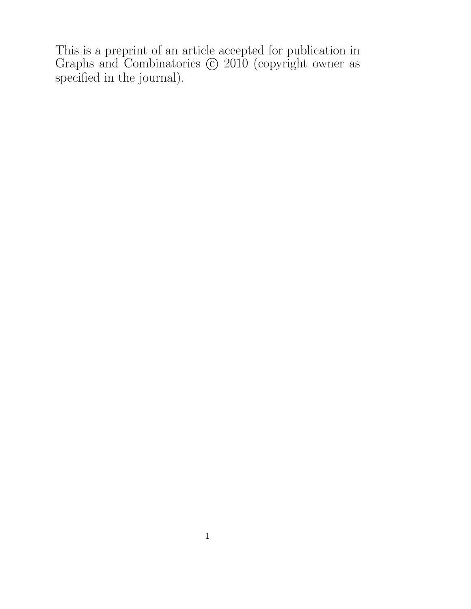This is a preprint of an article accepted for publication in Graphs and Combinatorics  $\odot$  2010 (copyright owner as specified in the journal).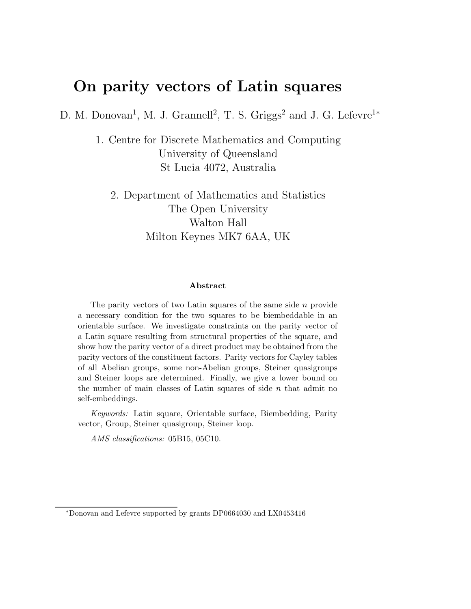# On parity vectors of Latin squares

D. M. Donovan<sup>1</sup>, M. J. Grannell<sup>2</sup>, T. S. Griggs<sup>2</sup> and J. G. Lefevre<sup>1\*</sup>

1. Centre for Discrete Mathematics and Computing University of Queensland St Lucia 4072, Australia

2. Department of Mathematics and Statistics The Open University Walton Hall Milton Keynes MK7 6AA, UK

#### Abstract

The parity vectors of two Latin squares of the same side  $n$  provide a necessary condition for the two squares to be biembeddable in an orientable surface. We investigate constraints on the parity vector of a Latin square resulting from structural properties of the square, and show how the parity vector of a direct product may be obtained from the parity vectors of the constituent factors. Parity vectors for Cayley tables of all Abelian groups, some non-Abelian groups, Steiner quasigroups and Steiner loops are determined. Finally, we give a lower bound on the number of main classes of Latin squares of side  $n$  that admit no self-embeddings.

Keywords: Latin square, Orientable surface, Biembedding, Parity vector, Group, Steiner quasigroup, Steiner loop.

AMS classifications: 05B15, 05C10.

<sup>∗</sup>Donovan and Lefevre supported by grants DP0664030 and LX0453416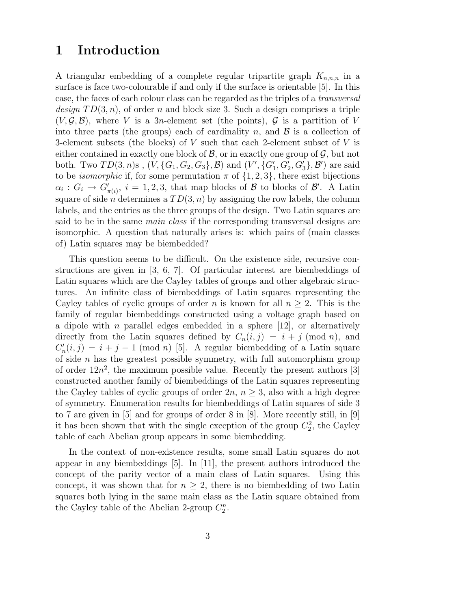### 1 Introduction

A triangular embedding of a complete regular tripartite graph  $K_{n,n,n}$  in a surface is face two-colourable if and only if the surface is orientable [5]. In this case, the faces of each colour class can be regarded as the triples of a transversal design  $TD(3, n)$ , of order n and block size 3. Such a design comprises a triple  $(V, \mathcal{G}, \mathcal{B})$ , where V is a 3n-element set (the points),  $\mathcal{G}$  is a partition of V into three parts (the groups) each of cardinality n, and  $\mathcal{B}$  is a collection of 3-element subsets (the blocks) of V such that each 2-element subset of V is either contained in exactly one block of  $\mathcal{B}$ , or in exactly one group of  $\mathcal{G}$ , but not both. Two  $TD(3, n)$ s,  $(V, \{G_1, G_2, G_3\}, \mathcal{B})$  and  $(V', \{G'_1, G'_2, G'_3\}, \mathcal{B}')$  are said to be *isomorphic* if, for some permutation  $\pi$  of  $\{1, 2, 3\}$ , there exist bijections  $\alpha_i: G_i \to \overline{G}'_{\pi(i)}, i = 1, 2, 3$ , that map blocks of  $\mathcal{B}$  to blocks of  $\mathcal{B}'$ . A Latin square of side *n* determines a  $TD(3, n)$  by assigning the row labels, the column labels, and the entries as the three groups of the design. Two Latin squares are said to be in the same *main class* if the corresponding transversal designs are isomorphic. A question that naturally arises is: which pairs of (main classes of) Latin squares may be biembedded?

This question seems to be difficult. On the existence side, recursive constructions are given in [3, 6, 7]. Of particular interest are biembeddings of Latin squares which are the Cayley tables of groups and other algebraic structures. An infinite class of biembeddings of Latin squares representing the Cayley tables of cyclic groups of order n is known for all  $n \geq 2$ . This is the family of regular biembeddings constructed using a voltage graph based on a dipole with *n* parallel edges embedded in a sphere  $[12]$ , or alternatively directly from the Latin squares defined by  $C_n(i,j) = i + j \pmod{n}$ , and  $C'_r$  $n'_n(i,j) = i + j - 1 \pmod{n}$  [5]. A regular biembedding of a Latin square of side  $n$  has the greatest possible symmetry, with full automorphism group of order  $12n^2$ , the maximum possible value. Recently the present authors [3] constructed another family of biembeddings of the Latin squares representing the Cayley tables of cyclic groups of order  $2n, n \geq 3$ , also with a high degree of symmetry. Enumeration results for biembeddings of Latin squares of side 3 to 7 are given in [5] and for groups of order 8 in [8]. More recently still, in [9] it has been shown that with the single exception of the group  $C_2^2$ , the Cayley table of each Abelian group appears in some biembedding.

In the context of non-existence results, some small Latin squares do not appear in any biembeddings  $[5]$ . In [11], the present authors introduced the concept of the parity vector of a main class of Latin squares. Using this concept, it was shown that for  $n \geq 2$ , there is no biembedding of two Latin squares both lying in the same main class as the Latin square obtained from the Cayley table of the Abelian 2-group  $C_2^n$ .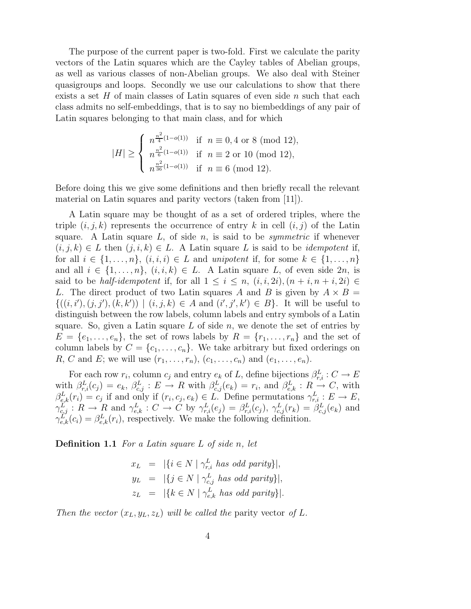The purpose of the current paper is two-fold. First we calculate the parity vectors of the Latin squares which are the Cayley tables of Abelian groups, as well as various classes of non-Abelian groups. We also deal with Steiner quasigroups and loops. Secondly we use our calculations to show that there exists a set  $H$  of main classes of Latin squares of even side  $n$  such that each class admits no self-embeddings, that is to say no biembeddings of any pair of Latin squares belonging to that main class, and for which

$$
|H| \ge \begin{cases} n^{\frac{n^2}{4}(1-o(1))} & \text{if } n \equiv 0, 4 \text{ or } 8 \pmod{12}, \\ n^{\frac{n^2}{6}(1-o(1))} & \text{if } n \equiv 2 \text{ or } 10 \pmod{12}, \\ n^{\frac{n^2}{36}(1-o(1))} & \text{if } n \equiv 6 \pmod{12}. \end{cases}
$$

Before doing this we give some definitions and then briefly recall the relevant material on Latin squares and parity vectors (taken from [11]).

A Latin square may be thought of as a set of ordered triples, where the triple  $(i, j, k)$  represents the occurrence of entry k in cell  $(i, j)$  of the Latin square. A Latin square  $L$ , of side  $n$ , is said to be *symmetric* if whenever  $(i, j, k) \in L$  then  $(j, i, k) \in L$ . A Latin square L is said to be *idempotent* if, for all  $i \in \{1, \ldots, n\}$ ,  $(i, i, i) \in L$  and unipotent if, for some  $k \in \{1, \ldots, n\}$ and all  $i \in \{1, \ldots, n\}, \ (i, i, k) \in L$ . A Latin square L, of even side  $2n$ , is said to be *half-idempotent* if, for all  $1 \leq i \leq n$ ,  $(i, i, 2i)$ ,  $(n + i, n + i, 2i) \in$ L. The direct product of two Latin squares A and B is given by  $A \times B =$  $\{((i, i'), (j, j'), (k, k')) \mid (i, j, k) \in A \text{ and } (i', j', k') \in B\}.$  It will be useful to distinguish between the row labels, column labels and entry symbols of a Latin square. So, given a Latin square  $L$  of side  $n$ , we denote the set of entries by  $E = \{e_1, \ldots, e_n\}$ , the set of rows labels by  $R = \{r_1, \ldots, r_n\}$  and the set of column labels by  $C = \{c_1, \ldots, c_n\}$ . We take arbitrary but fixed orderings on R, C and E; we will use  $(r_1, \ldots, r_n)$ ,  $(c_1, \ldots, c_n)$  and  $(e_1, \ldots, e_n)$ .

For each row  $r_i$ , column  $c_j$  and entry  $e_k$  of L, define bijections  $\beta_{r,i}^L: C \to E$ with  $\beta_{r,i}^L(c_j) = e_k$ ,  $\beta_{c,j}^L : E \to R$  with  $\beta_{c,j}^L(e_k) = r_i$ , and  $\beta_{e,k}^L : R \to C$ , with  $\beta_{e,k}^L(r_i) = c_j$  if and only if  $(r_i, c_j, e_k) \in L$ . Define permutations  $\gamma_{r,i}^L : E \to E$ ,  $\gamma_{c,j}^L: R \to R$  and  $\gamma_{e,k}^L: C \to C$  by  $\gamma_{r,i}^L(e_j) = \beta_{r,i}^L(c_j)$ ,  $\gamma_{c,j}^L(r_k) = \beta_{c,j}^L(e_k)$  and  $\gamma_{e,k}^L(c_i) = \beta_{e,k}^L(r_i)$ , respectively. We make the following definition.

**Definition 1.1** For a Latin square  $L$  of side n, let

$$
x_L = |\{i \in N \mid \gamma_{r,i}^L \text{ has odd parity}\}|,
$$
  
\n
$$
y_L = |\{j \in N \mid \gamma_{c,j}^L \text{ has odd parity}\}|,
$$
  
\n
$$
z_L = |\{k \in N \mid \gamma_{e,k}^L \text{ has odd parity}\}|.
$$

Then the vector  $(x_L, y_L, z_L)$  will be called the parity vector of L.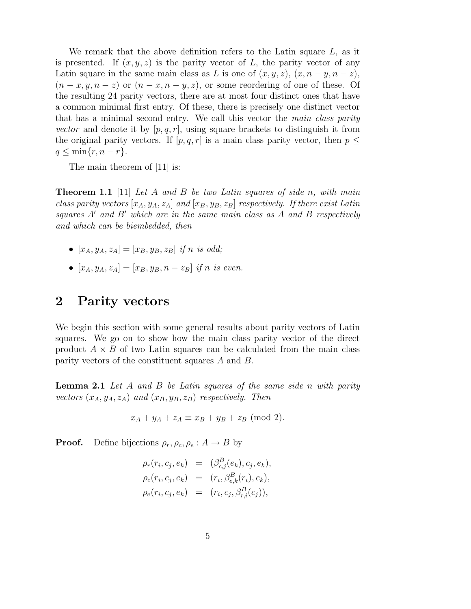We remark that the above definition refers to the Latin square  $L$ , as it is presented. If  $(x, y, z)$  is the parity vector of L, the parity vector of any Latin square in the same main class as L is one of  $(x, y, z)$ ,  $(x, n - y, n - z)$ ,  $(n-x, y, n-z)$  or  $(n-x, n-y, z)$ , or some reordering of one of these. Of the resulting 24 parity vectors, there are at most four distinct ones that have a common minimal first entry. Of these, there is precisely one distinct vector that has a minimal second entry. We call this vector the main class parity vector and denote it by  $[p, q, r]$ , using square brackets to distinguish it from the original parity vectors. If  $[p, q, r]$  is a main class parity vector, then  $p \leq$  $q \leq \min\{r, n-r\}.$ 

The main theorem of [11] is:

**Theorem 1.1** [11] Let A and B be two Latin squares of side n, with main class parity vectors  $[x_A, y_A, z_A]$  and  $[x_B, y_B, z_B]$  respectively. If there exist Latin squares  $A'$  and  $B'$  which are in the same main class as A and B respectively and which can be biembedded, then

- $[x_A, y_A, z_A] = [x_B, y_B, z_B]$  if n is odd;
- $[x_A, y_A, z_A] = [x_B, y_B, n z_B]$  if n is even.

#### 2 Parity vectors

We begin this section with some general results about parity vectors of Latin squares. We go on to show how the main class parity vector of the direct product  $A \times B$  of two Latin squares can be calculated from the main class parity vectors of the constituent squares A and B.

**Lemma 2.1** Let A and B be Latin squares of the same side n with parity vectors  $(x_A, y_A, z_A)$  and  $(x_B, y_B, z_B)$  respectively. Then

$$
x_A + y_A + z_A \equiv x_B + y_B + z_B \pmod{2}.
$$

**Proof.** Define bijections  $\rho_r, \rho_c, \rho_e : A \rightarrow B$  by

$$
\rho_r(r_i, c_j, e_k) = (\beta_{c,j}^B(e_k), c_j, e_k), \n\rho_c(r_i, c_j, e_k) = (r_i, \beta_{e,k}^B(r_i), e_k), \n\rho_e(r_i, c_j, e_k) = (r_i, c_j, \beta_{r,i}^B(c_j)),
$$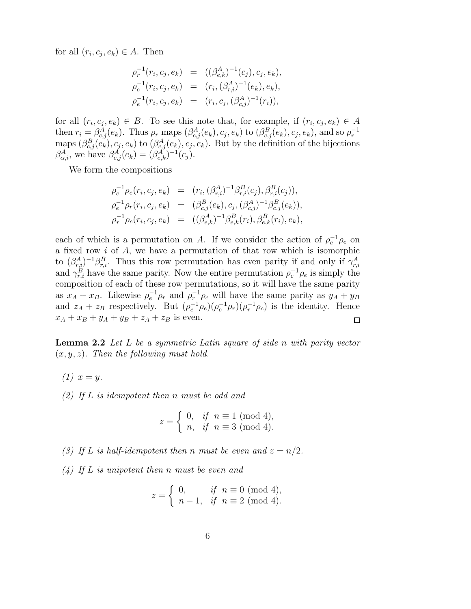for all  $(r_i, c_j, e_k) \in A$ . Then

$$
\rho_r^{-1}(r_i, c_j, e_k) = ((\beta_{e,k}^A)^{-1}(c_j), c_j, e_k),
$$
  
\n
$$
\rho_c^{-1}(r_i, c_j, e_k) = (r_i, (\beta_{r,i}^A)^{-1}(e_k), e_k),
$$
  
\n
$$
\rho_e^{-1}(r_i, c_j, e_k) = (r_i, c_j, (\beta_{c,j}^A)^{-1}(r_i)),
$$

for all  $(r_i, c_j, e_k) \in B$ . To see this note that, for example, if  $(r_i, c_j, e_k) \in A$ then  $r_i = \beta_{c,j}^A(e_k)$ . Thus  $\rho_r$  maps  $(\beta_{c,j}^A(e_k), c_j, e_k)$  to  $(\beta_{c,j}^B(e_k), c_j, e_k)$ , and so  $\rho_r^{-1}$ maps  $(\beta_{c,j}^B(e_k), c_j, e_k)$  to  $(\beta_{c,j}^A(e_k), c_j, e_k)$ . But by the definition of the bijections  $\beta_{\alpha,i}^A$ , we have  $\beta_{c,j}^A(e_k) = (\beta_{e,k}^A)^{-1}(c_j)$ .

We form the compositions

$$
\rho_c^{-1} \rho_e(r_i, c_j, e_k) = (r_i, (\beta_{r,i}^A)^{-1} \beta_{r,i}^B(c_j), \beta_{r,i}^B(c_j)),
$$
  
\n
$$
\rho_e^{-1} \rho_r(r_i, c_j, e_k) = (\beta_{c,j}^B(e_k), c_j, (\beta_{c,j}^A)^{-1} \beta_{c,j}^B(e_k)),
$$
  
\n
$$
\rho_r^{-1} \rho_c(r_i, c_j, e_k) = ((\beta_{e,k}^A)^{-1} \beta_{e,k}^B(r_i), \beta_{e,k}^B(r_i), e_k),
$$

each of which is a permutation on A. If we consider the action of  $\rho_c^{-1} \rho_e$  on a fixed row i of A, we have a permutation of that row which is isomorphic to  $(\beta_{r,i}^A)^{-1}\beta_{r,i}^B$ . Thus this row permutation has even parity if and only if  $\gamma_{r,i}^A$ and  $\gamma_{r,i}^B$  have the same parity. Now the entire permutation  $\rho_c^{-1} \rho_e$  is simply the composition of each of these row permutations, so it will have the same parity as  $x_A + x_B$ . Likewise  $\rho_e^{-1} \rho_r$  and  $\rho_r^{-1} \rho_c$  will have the same parity as  $y_A + y_B$ and  $z_A + z_B$  respectively. But  $(\rho_c^{-1}\rho_e)(\rho_e^{-1}\rho_r)(\rho_r^{-1}\rho_c)$  is the identity. Hence  $x_A + x_B + y_A + y_B + z_A + z_B$  is even.  $\Box$ 

**Lemma 2.2** Let  $L$  be a symmetric Latin square of side n with parity vector  $(x, y, z)$ . Then the following must hold.

- $(1) x = y.$
- $(2)$  If L is idempotent then n must be odd and

$$
z = \begin{cases} 0, & \text{if } n \equiv 1 \pmod{4}, \\ n, & \text{if } n \equiv 3 \pmod{4}. \end{cases}
$$

- (3) If L is half-idempotent then n must be even and  $z = n/2$ .
- $(4)$  If L is unipotent then n must be even and

$$
z = \begin{cases} 0, & \text{if } n \equiv 0 \pmod{4}, \\ n-1, & \text{if } n \equiv 2 \pmod{4}. \end{cases}
$$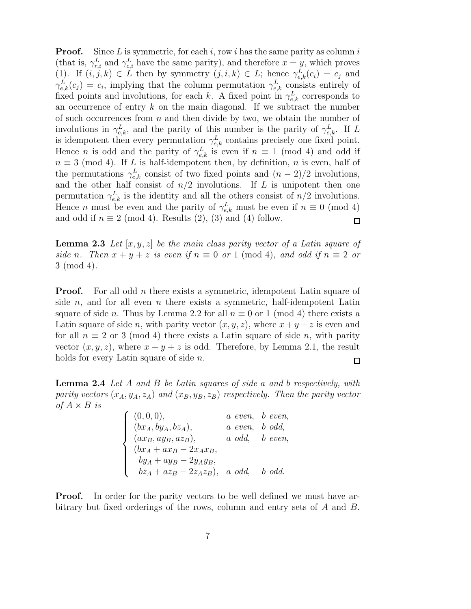**Proof.** Since L is symmetric, for each i, row i has the same parity as column i (that is,  $\gamma_{r,i}^L$  and  $\gamma_{c,i}^L$  have the same parity), and therefore  $x = y$ , which proves (1). If  $(i, j, k) \in L$  then by symmetry  $(j, i, k) \in L$ ; hence  $\gamma_{e,k}^L(c_i) = c_j$  and  $\gamma_{e,k}^L(c_j) = c_i$ , implying that the column permutation  $\gamma_{e,k}^L$  consists entirely of fixed points and involutions, for each k. A fixed point in  $\gamma_{e,k}^L$  corresponds to an occurrence of entry  $k$  on the main diagonal. If we subtract the number of such occurrences from  $n$  and then divide by two, we obtain the number of involutions in  $\gamma_{e,k}^L$ , and the parity of this number is the parity of  $\gamma_{e,k}^L$ . If L is idempotent then every permutation  $\gamma_{e,k}^L$  contains precisely one fixed point. Hence *n* is odd and the parity of  $\gamma_{e,k}^L$  is even if  $n \equiv 1 \pmod{4}$  and odd if  $n \equiv 3 \pmod{4}$ . If L is half-idempotent then, by definition, n is even, half of the permutations  $\gamma_{e,k}^L$  consist of two fixed points and  $(n-2)/2$  involutions, and the other half consist of  $n/2$  involutions. If L is unipotent then one permutation  $\gamma_{e,k}^L$  is the identity and all the others consist of  $n/2$  involutions. Hence *n* must be even and the parity of  $\gamma_{e,k}^L$  must be even if  $n \equiv 0 \pmod{4}$ and odd if  $n \equiv 2 \pmod{4}$ . Results  $(2), (3)$  and  $(4)$  follow.  $\Box$ 

**Lemma 2.3** Let  $[x, y, z]$  be the main class parity vector of a Latin square of side n. Then  $x + y + z$  is even if  $n \equiv 0$  or 1 (mod 4), and odd if  $n \equiv 2$  or 3 (mod 4).

**Proof.** For all odd *n* there exists a symmetric, idempotent Latin square of side n, and for all even n there exists a symmetric, half-idempotent Latin square of side n. Thus by Lemma 2.2 for all  $n \equiv 0$  or 1 (mod 4) there exists a Latin square of side n, with parity vector  $(x, y, z)$ , where  $x + y + z$  is even and for all  $n \equiv 2$  or 3 (mod 4) there exists a Latin square of side n, with parity vector  $(x, y, z)$ , where  $x + y + z$  is odd. Therefore, by Lemma 2.1, the result holds for every Latin square of side *n*.  $\Box$ 

**Lemma 2.4** Let A and B be Latin squares of side a and b respectively, with parity vectors  $(x_A, y_A, z_A)$  and  $(x_B, y_B, z_B)$  respectively. Then the parity vector of  $A \times B$  is

| (0,0,0),                                | a even, b even,                        |
|-----------------------------------------|----------------------------------------|
| $\int (bx_A, by_A, bz_A),$              | $a$ even, $b$ odd,                     |
| $\int (ax_B, ay_B, az_B),$              | $a \text{ odd}, \quad b \text{ even},$ |
| $(bx_A + ax_B - 2x_Ax_B,$               |                                        |
| $by_A + ay_B - 2y_Ay_B,$                |                                        |
| $bz_A + az_B - 2z_Az_B$ , a odd, b odd. |                                        |

**Proof.** In order for the parity vectors to be well defined we must have arbitrary but fixed orderings of the rows, column and entry sets of A and B.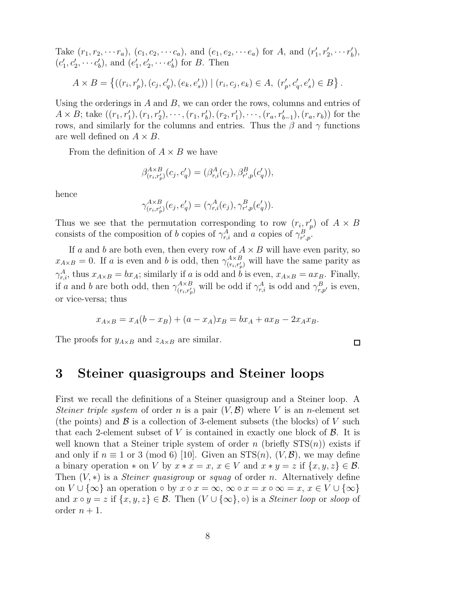Take  $(r_1, r_2, \dots r_a)$ ,  $(c_1, c_2, \dots c_a)$ , and  $(e_1, e_2, \dots e_a)$  for A, and  $(r'_1)$  $'_{1}, r'_{2}, \cdots r'_{b}$  $'_{b}$ ),  $(c_1$  $c'_1, c'_2, \cdots c'_l$  $\epsilon_b^{\prime}),$  and  $\epsilon_b^{\prime}$  $e'_{1}, e'_{2}, \cdots e'_{l}$  $b<sub>b</sub>$  for B. Then

$$
A \times B = \{ ((r_i, r'_p), (c_j, c'_q), (e_k, e'_s)) \mid (r_i, c_j, e_k) \in A, (r'_p, c'_q, e'_s) \in B \}.
$$

Using the orderings in  $A$  and  $B$ , we can order the rows, columns and entries of  $A \times B$ ; take  $((r_1, r'_1), (r_1, r'_2), \cdots, (r_1, r'_b), (r_2, r'_1), \cdots, (r_a, r'_{b-1}), (r_a, r_b))$  for the rows, and similarly for the columns and entries. Thus the  $\beta$  and  $\gamma$  functions are well defined on  $A \times B$ .

From the definition of  $A \times B$  we have

$$
\beta_{(r_i,r'_p)}^{A \times B}(c_j,c'_q) = (\beta_{r,i}^A(c_j),\beta_{r',p}^B(c'_q)),
$$

hence

$$
\gamma_{(r_{i},r'_{p})}^{A\times B}(e_{j},e'_{q})=(\gamma_{r,i}^{A}(e_{j}),\gamma_{r',p}^{B}(e'_{q})).
$$

Thus we see that the permutation corresponding to row  $(r_i, r'_p)$  of  $A \times B$ consists of the composition of b copies of  $\gamma_{r,i}^A$  and a copies of  $\gamma_{r',p}^B$ .

If a and b are both even, then every row of  $A \times B$  will have even parity, so  $x_{A\times B} = 0$ . If a is even and b is odd, then  $\gamma_{(r_1, r_2)}^{A\times B}$  $\binom{A\times B}{(r_i,r'_p)}$  will have the same parity as  $\gamma_{r,i}^A$ , thus  $x_{A\times B} = bx_A$ ; similarly if a is odd and b is even,  $x_{A\times B} = ax_B$ . Finally, if a and b are both odd, then  $\gamma_{(r, r')}^{A \times B}$  $_{(r_i,r'_p)}^{A \times B}$  will be odd if  $\gamma_{r,i}^A$  is odd and  $\gamma_{r,p'}^B$  is even, or vice-versa; thus

$$
x_{A \times B} = x_A(b - x_B) + (a - x_A)x_B = bx_A + ax_B - 2x_Ax_B.
$$

The proofs for  $y_{A\times B}$  and  $z_{A\times B}$  are similar.

 $\Box$ 

#### 3 Steiner quasigroups and Steiner loops

First we recall the definitions of a Steiner quasigroup and a Steiner loop. A Steiner triple system of order n is a pair  $(V, \mathcal{B})$  where V is an n-element set (the points) and  $\beta$  is a collection of 3-element subsets (the blocks) of V such that each 2-element subset of V is contained in exactly one block of  $\mathcal{B}$ . It is well known that a Steiner triple system of order n (briefly  $STS(n)$ ) exists if and only if  $n \equiv 1$  or 3 (mod 6) [10]. Given an  $STS(n)$ ,  $(V, \mathcal{B})$ , we may define a binary operation  $*$  on V by  $x * x = x$ ,  $x \in V$  and  $x * y = z$  if  $\{x, y, z\} \in \mathcal{B}$ . Then  $(V, *)$  is a *Steiner quasigroup* or *squag* of order *n*. Alternatively define on  $V \cup \{\infty\}$  an operation  $\circ$  by  $x \circ x = \infty$ ,  $\infty \circ x = x \circ \infty = x$ ,  $x \in V \cup \{\infty\}$ and  $x \circ y = z$  if  $\{x, y, z\} \in \mathcal{B}$ . Then  $(V \cup \{\infty\}, \circ)$  is a *Steiner loop* or *sloop* of order  $n + 1$ .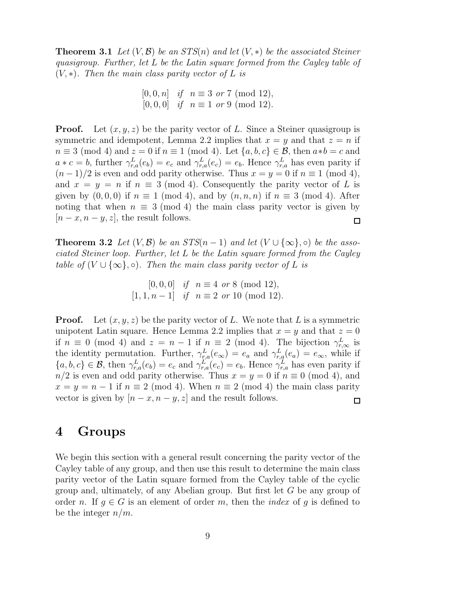**Theorem 3.1** Let  $(V, \mathcal{B})$  be an  $STS(n)$  and let  $(V, *)$  be the associated Steiner quasigroup. Further, let L be the Latin square formed from the Cayley table of  $(V, *)$ . Then the main class parity vector of L is

> $[0, 0, n]$  if  $n \equiv 3 \text{ or } 7 \pmod{12}$ ,  $[0, 0, 0]$  if  $n \equiv 1$  or 9 (mod 12).

**Proof.** Let  $(x, y, z)$  be the parity vector of L. Since a Steiner quasigroup is symmetric and idempotent, Lemma 2.2 implies that  $x = y$  and that  $z = n$  if  $n \equiv 3 \pmod{4}$  and  $z = 0$  if  $n \equiv 1 \pmod{4}$ . Let  $\{a, b, c\} \in \mathcal{B}$ , then  $a * b = c$  and  $a * c = b$ , further  $\gamma_{r,a}^L(e_b) = e_c$  and  $\gamma_{r,a}^L(e_c) = e_b$ . Hence  $\gamma_{r,a}^L$  has even parity if  $(n-1)/2$  is even and odd parity otherwise. Thus  $x = y = 0$  if  $n \equiv 1 \pmod{4}$ , and  $x = y = n$  if  $n \equiv 3 \pmod{4}$ . Consequently the parity vector of L is given by  $(0, 0, 0)$  if  $n \equiv 1 \pmod{4}$ , and by  $(n, n, n)$  if  $n \equiv 3 \pmod{4}$ . After noting that when  $n \equiv 3 \pmod{4}$  the main class parity vector is given by  $[n-x, n-y, z]$ , the result follows.  $\Box$ 

**Theorem 3.2** Let  $(V, \mathcal{B})$  be an  $STS(n-1)$  and let  $(V \cup {\infty}, \circ)$  be the associated Steiner loop. Further, let L be the Latin square formed from the Cayley table of  $(V \cup \{\infty\}, \circ)$ . Then the main class parity vector of L is

> $[0, 0, 0]$  if  $n \equiv 4 \text{ or } 8 \pmod{12}$ ,  $[1, 1, n - 1]$  if  $n \equiv 2$  or 10 (mod 12).

**Proof.** Let  $(x, y, z)$  be the parity vector of L. We note that L is a symmetric unipotent Latin square. Hence Lemma 2.2 implies that  $x = y$  and that  $z = 0$ if  $n \equiv 0 \pmod{4}$  and  $z = n - 1$  if  $n \equiv 2 \pmod{4}$ . The bijection  $\gamma_{r,\infty}^L$  is the identity permutation. Further,  $\gamma_{r,a}^L(e_{\infty}) = e_a$  and  $\gamma_{r,a}^L(e_a) = e_{\infty}$ , while if  $\{a, b, c\} \in \mathcal{B}$ , then  $\gamma_{r,a}^L(e_b) = e_c$  and  $\gamma_{r,a}^L(e_c) = e_b$ . Hence  $\gamma_{r,a}^L$  has even parity if  $n/2$  is even and odd parity otherwise. Thus  $x = y = 0$  if  $n \equiv 0 \pmod{4}$ , and  $x = y = n - 1$  if  $n \equiv 2 \pmod{4}$ . When  $n \equiv 2 \pmod{4}$  the main class parity vector is given by  $[n - x, n - y, z]$  and the result follows.  $\Box$ 

#### 4 Groups

We begin this section with a general result concerning the parity vector of the Cayley table of any group, and then use this result to determine the main class parity vector of the Latin square formed from the Cayley table of the cyclic group and, ultimately, of any Abelian group. But first let G be any group of order n. If  $g \in G$  is an element of order m, then the *index* of g is defined to be the integer  $n/m$ .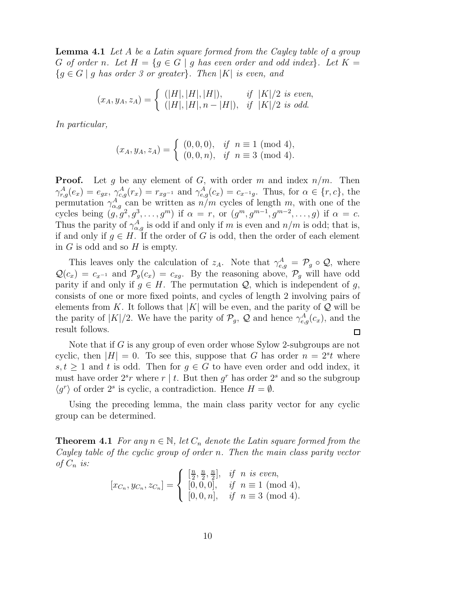**Lemma 4.1** Let A be a Latin square formed from the Cayley table of a group G of order n. Let  $H = \{g \in G \mid g \text{ has even order and odd index}\}\$ . Let  $K =$  ${g \in G \mid g \text{ has order 3 or greater}}$ . Then |K| is even, and

$$
(x_A, y_A, z_A) = \begin{cases} (|H|, |H|, |H|), & if |K|/2 \text{ is even,} \\ (|H|, |H|, n - |H|), & if |K|/2 \text{ is odd.} \end{cases}
$$

In particular,

$$
(x_A, y_A, z_A) = \begin{cases} (0,0,0), & \text{if } n \equiv 1 \pmod{4}, \\ (0,0,n), & \text{if } n \equiv 3 \pmod{4}. \end{cases}
$$

**Proof.** Let g be any element of G, with order m and index  $n/m$ . Then  $\gamma_{r,g}^A(e_x) = e_{gx}, \gamma_{c,g}^A(r_x) = r_{xg^{-1}}$  and  $\gamma_{e,g}^A(c_x) = c_{x^{-1}g}$ . Thus, for  $\alpha \in \{r, c\}$ , the permutation  $\gamma_{\alpha,g}^A$  can be written as  $n/m$  cycles of length m, with one of the cycles being  $(g, g^2, g^3, \ldots, g^m)$  if  $\alpha = r$ , or  $(g^m, g^{m-1}, g^{m-2}, \ldots, g)$  if  $\alpha = c$ . Thus the parity of  $\gamma_{\alpha,g}^A$  is odd if and only if m is even and  $n/m$  is odd; that is, if and only if  $g \in H$ . If the order of G is odd, then the order of each element in  $G$  is odd and so  $H$  is empty.

This leaves only the calculation of  $z_A$ . Note that  $\gamma_{e,g}^A = \mathcal{P}_g \circ \mathcal{Q}$ , where  $\mathcal{Q}(c_x) = c_{x^{-1}}$  and  $\mathcal{P}_q(c_x) = c_{xq}$ . By the reasoning above,  $\mathcal{P}_q$  will have odd parity if and only if  $g \in H$ . The permutation  $\mathcal{Q}$ , which is independent of g, consists of one or more fixed points, and cycles of length 2 involving pairs of elements from K. It follows that  $|K|$  will be even, and the parity of Q will be the parity of  $|K|/2$ . We have the parity of  $\mathcal{P}_g$ ,  $\mathcal Q$  and hence  $\gamma_{e,g}^A(c_x)$ , and the result follows. □

Note that if G is any group of even order whose Sylow 2-subgroups are not cyclic, then  $|H| = 0$ . To see this, suppose that G has order  $n = 2<sup>s</sup> t$  where  $s, t \geq 1$  and t is odd. Then for  $g \in G$  to have even order and odd index, it must have order  $2<sup>s</sup>r$  where  $r \mid t$ . But then  $g<sup>r</sup>$  has order  $2<sup>s</sup>$  and so the subgroup  $\langle g^r \rangle$  of order  $2^s$  is cyclic, a contradiction. Hence  $H = \emptyset$ .

Using the preceding lemma, the main class parity vector for any cyclic group can be determined.

**Theorem 4.1** For any  $n \in \mathbb{N}$ , let  $C_n$  denote the Latin square formed from the Cayley table of the cyclic group of order n. Then the main class parity vector of  $C_n$  is:

$$
[x_{C_n}, y_{C_n}, z_{C_n}] = \begin{cases} [\frac{n}{2}, \frac{n}{2}, \frac{n}{2}], & \text{if } n \text{ is even,} \\ [0, 0, 0], & \text{if } n \equiv 1 \pmod{4,} \\ [0, 0, n], & \text{if } n \equiv 3 \pmod{4.} \end{cases}
$$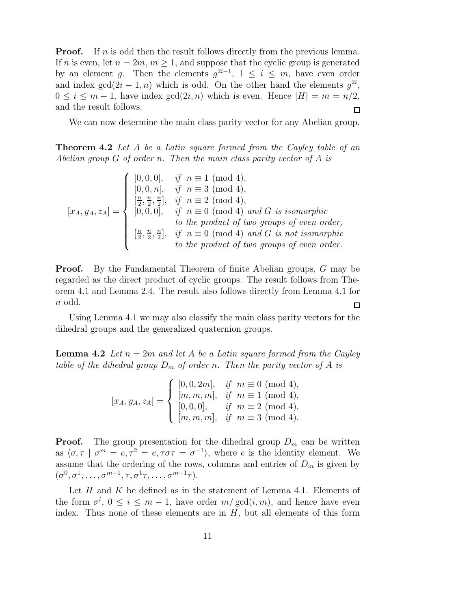**Proof.** If n is odd then the result follows directly from the previous lemma. If n is even, let  $n = 2m$ ,  $m \geq 1$ , and suppose that the cyclic group is generated by an element g. Then the elements  $g^{2i-1}$ ,  $1 \leq i \leq m$ , have even order and index  $gcd(2i - 1, n)$  which is odd. On the other hand the elements  $g^{2i}$ ,  $0 \leq i \leq m-1$ , have index  $gcd(2i, n)$  which is even. Hence  $|H| = m = n/2$ , and the result follows.  $\Box$ 

We can now determine the main class parity vector for any Abelian group.

**Theorem 4.2** Let A be a Latin square formed from the Cayley table of an Abelian group G of order n. Then the main class parity vector of A is

$$
[x_A, y_A, z_A] = \begin{cases} [0, 0, 0], & if \ n \equiv 1 \pmod{4}, \\ [0, 0, n], & if \ n \equiv 3 \pmod{4}, \\ \left[\frac{n}{2}, \frac{n}{2}, \frac{n}{2}\right], & if \ n \equiv 2 \pmod{4}, \\ [0, 0, 0], & if \ n \equiv 0 \pmod{4} \text{ and } G \text{ is isomorphic} \\ & \text{to the product of two groups of even order}, \\ \left[\frac{n}{2}, \frac{n}{2}, \frac{n}{2}\right], & if \ n \equiv 0 \pmod{4} \text{ and } G \text{ is not isomorphic} \\ & \text{to the product of two groups of even order.} \end{cases}
$$

**Proof.** By the Fundamental Theorem of finite Abelian groups, G may be regarded as the direct product of cyclic groups. The result follows from Theorem 4.1 and Lemma 2.4. The result also follows directly from Lemma 4.1 for n odd.  $\Box$ 

Using Lemma 4.1 we may also classify the main class parity vectors for the dihedral groups and the generalized quaternion groups.

**Lemma 4.2** Let  $n = 2m$  and let A be a Latin square formed from the Cayley table of the dihedral group  $D_m$  of order n. Then the parity vector of A is

$$
[x_A, y_A, z_A] = \begin{cases} [0, 0, 2m], & \text{if } m \equiv 0 \pmod{4}, \\ [m, m, m], & \text{if } m \equiv 1 \pmod{4}, \\ [0, 0, 0], & \text{if } m \equiv 2 \pmod{4}, \\ [m, m, m], & \text{if } m \equiv 3 \pmod{4}. \end{cases}
$$

**Proof.** The group presentation for the dihedral group  $D_m$  can be written as  $\langle \sigma, \tau | \sigma^m = e, \tau^2 = e, \tau \sigma \tau = \sigma^{-1} \rangle$ , where e is the identity element. We assume that the ordering of the rows, columns and entries of  $D_m$  is given by  $(\sigma^0, \sigma^1, \ldots, \sigma^{m-1}, \tau, \sigma^1\tau, \ldots, \sigma^{m-1}\tau).$ 

Let H and K be defined as in the statement of Lemma 4.1. Elements of the form  $\sigma^i$ ,  $0 \leq i \leq m-1$ , have order  $m/\gcd(i,m)$ , and hence have even index. Thus none of these elements are in  $H$ , but all elements of this form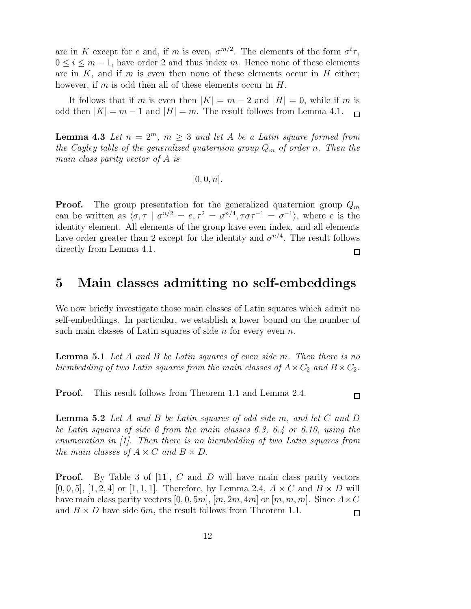are in K except for e and, if m is even,  $\sigma^{m/2}$ . The elements of the form  $\sigma^{i}\tau$ ,  $0 \leq i \leq m-1$ , have order 2 and thus index m. Hence none of these elements are in  $K$ , and if m is even then none of these elements occur in  $H$  either; however, if m is odd then all of these elements occur in  $H$ .

It follows that if m is even then  $|K| = m - 2$  and  $|H| = 0$ , while if m is odd then  $|K| = m - 1$  and  $|H| = m$ . The result follows from Lemma 4.1.  $\Box$ 

**Lemma 4.3** Let  $n = 2^m$ ,  $m \geq 3$  and let A be a Latin square formed from the Cayley table of the generalized quaternion group  $Q_m$  of order n. Then the main class parity vector of A is

 $[0, 0, n]$ .

**Proof.** The group presentation for the generalized quaternion group  $Q_m$ can be written as  $\langle \sigma, \tau | \sigma^{n/2} = e, \tau^2 = \sigma^{n/4}, \tau \sigma \tau^{-1} = \sigma^{-1} \rangle$ , where e is the identity element. All elements of the group have even index, and all elements have order greater than 2 except for the identity and  $\sigma^{n/4}$ . The result follows directly from Lemma 4.1. □

## 5 Main classes admitting no self-embeddings

We now briefly investigate those main classes of Latin squares which admit no self-embeddings. In particular, we establish a lower bound on the number of such main classes of Latin squares of side  $n$  for every even  $n$ .

**Lemma 5.1** Let A and B be Latin squares of even side m. Then there is no biembedding of two Latin squares from the main classes of  $A \times C_2$  and  $B \times C_2$ .

Proof. This result follows from Theorem 1.1 and Lemma 2.4.

**Lemma 5.2** Let A and B be Latin squares of odd side m, and let  $C$  and  $D$ be Latin squares of side 6 from the main classes 6.3, 6.4 or 6.10, using the enumeration in [1]. Then there is no biembedding of two Latin squares from the main classes of  $A \times C$  and  $B \times D$ .

**Proof.** By Table 3 of [11], C and D will have main class parity vectors  $[0, 0, 5]$ ,  $[1, 2, 4]$  or  $[1, 1, 1]$ . Therefore, by Lemma 2.4,  $A \times C$  and  $B \times D$  will have main class parity vectors [0, 0, 5m],  $[m, 2m, 4m]$  or  $[m, m, m]$ . Since  $A \times C$ and  $B \times D$  have side 6m, the result follows from Theorem 1.1.

 $\Box$ 

 $\Box$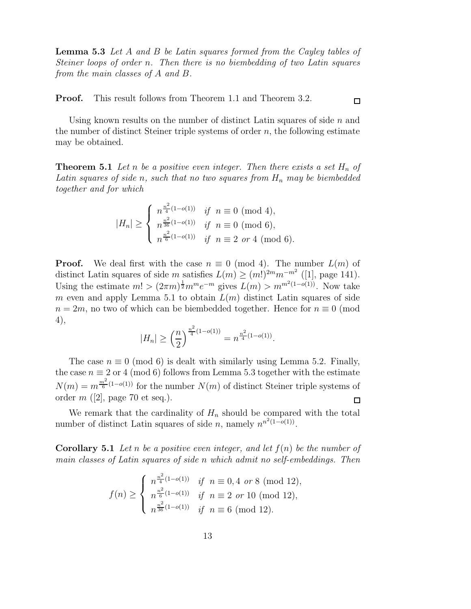Lemma 5.3 Let A and B be Latin squares formed from the Cayley tables of Steiner loops of order n. Then there is no biembedding of two Latin squares from the main classes of A and B.

Proof. This result follows from Theorem 1.1 and Theorem 3.2.

Using known results on the number of distinct Latin squares of side  $n$  and the number of distinct Steiner triple systems of order  $n$ , the following estimate may be obtained.

**Theorem 5.1** Let n be a positive even integer. Then there exists a set  $H_n$  of Latin squares of side n, such that no two squares from  $H_n$  may be biembedded together and for which

$$
|H_n| \ge \begin{cases} n^{\frac{n^2}{4}(1-o(1))} & \text{if } n \equiv 0 \pmod{4}, \\ n^{\frac{n^2}{36}(1-o(1))} & \text{if } n \equiv 0 \pmod{6}, \\ n^{\frac{n^2}{6}(1-o(1))} & \text{if } n \equiv 2 \text{ or } 4 \pmod{6}. \end{cases}
$$

**Proof.** We deal first with the case  $n \equiv 0 \pmod{4}$ . The number  $L(m)$  of distinct Latin squares of side m satisfies  $L(m) \ge (m!)^{2m} m^{-m^2}$  ([1], page 141). Using the estimate  $m! > (2\pi m)^{\frac{1}{2}} m^m e^{-m}$  gives  $L(m) > m^{m^2(1-o(1))}$ . Now take m even and apply Lemma 5.1 to obtain  $L(m)$  distinct Latin squares of side  $n = 2m$ , no two of which can be biembedded together. Hence for  $n \equiv 0 \pmod{m}$ 4),

$$
|H_n| \ge \left(\frac{n}{2}\right)^{\frac{n^2}{4}(1-o(1))} = n^{\frac{n^2}{4}(1-o(1))}.
$$

The case  $n \equiv 0 \pmod{6}$  is dealt with similarly using Lemma 5.2. Finally, the case  $n \equiv 2$  or 4 (mod 6) follows from Lemma 5.3 together with the estimate  $N(m) = m^{\frac{m^2}{6}(1-o(1))}$  for the number  $N(m)$  of distinct Steiner triple systems of order  $m$  ([2], page 70 et seq.).  $\Box$ 

We remark that the cardinality of  $H_n$  should be compared with the total number of distinct Latin squares of side n, namely  $n^{n^2(1-o(1))}$ .

**Corollary 5.1** Let n be a positive even integer, and let  $f(n)$  be the number of main classes of Latin squares of side n which admit no self-embeddings. Then

$$
f(n) \ge \begin{cases} n^{\frac{n^2}{4}(1-o(1))} & \text{if } n \equiv 0, 4 \text{ or } 8 \pmod{12}, \\ n^{\frac{n^2}{6}(1-o(1))} & \text{if } n \equiv 2 \text{ or } 10 \pmod{12}, \\ n^{\frac{n^2}{36}(1-o(1))} & \text{if } n \equiv 6 \pmod{12}. \end{cases}
$$

 $\Box$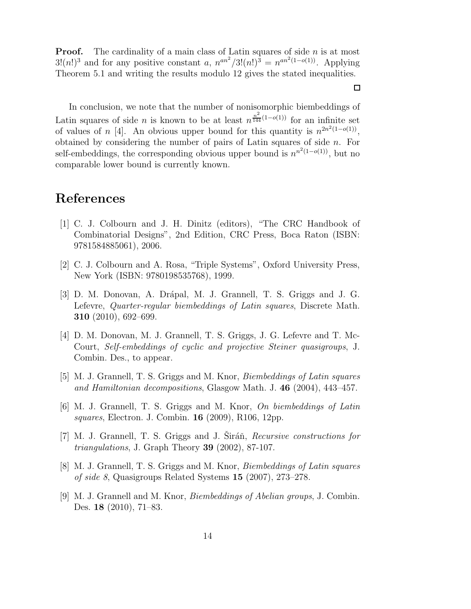**Proof.** The cardinality of a main class of Latin squares of side  $n$  is at most  $3!(n!)^3$  and for any positive constant a,  $n^{an^2}/3!(n!)^3 = n^{an^2(1-o(1))}$ . Applying Theorem 5.1 and writing the results modulo 12 gives the stated inequalities.

In conclusion, we note that the number of nonisomorphic biembeddings of Latin squares of side *n* is known to be at least  $n^{\frac{n^2}{144}(1-o(1))}$  for an infinite set of values of n [4]. An obvious upper bound for this quantity is  $n^{2n^2(1-o(1))}$ , obtained by considering the number of pairs of Latin squares of side  $n$ . For self-embeddings, the corresponding obvious upper bound is  $n^{n^2(1-o(1))}$ , but no comparable lower bound is currently known.

### References

- [1] C. J. Colbourn and J. H. Dinitz (editors), "The CRC Handbook of Combinatorial Designs", 2nd Edition, CRC Press, Boca Raton (ISBN: 9781584885061), 2006.
- [2] C. J. Colbourn and A. Rosa, "Triple Systems", Oxford University Press, New York (ISBN: 9780198535768), 1999.
- [3] D. M. Donovan, A. Drápal, M. J. Grannell, T. S. Griggs and J. G. Lefevre, Quarter-regular biembeddings of Latin squares, Discrete Math. 310 (2010), 692–699.
- [4] D. M. Donovan, M. J. Grannell, T. S. Griggs, J. G. Lefevre and T. Mc-Court, Self-embeddings of cyclic and projective Steiner quasigroups, J. Combin. Des., to appear.
- [5] M. J. Grannell, T. S. Griggs and M. Knor, Biembeddings of Latin squares and Hamiltonian decompositions, Glasgow Math. J. 46 (2004), 443–457.
- [6] M. J. Grannell, T. S. Griggs and M. Knor, On biembeddings of Latin squares, Electron. J. Combin. 16 (2009), R106, 12pp.
- [7] M. J. Grannell, T. S. Griggs and J. Siráň, Recursive constructions for *triangulations*, J. Graph Theory **39** (2002), 87-107.
- [8] M. J. Grannell, T. S. Griggs and M. Knor, Biembeddings of Latin squares of side 8, Quasigroups Related Systems 15 (2007), 273–278.
- [9] M. J. Grannell and M. Knor, Biembeddings of Abelian groups, J. Combin. Des. 18 (2010), 71–83.